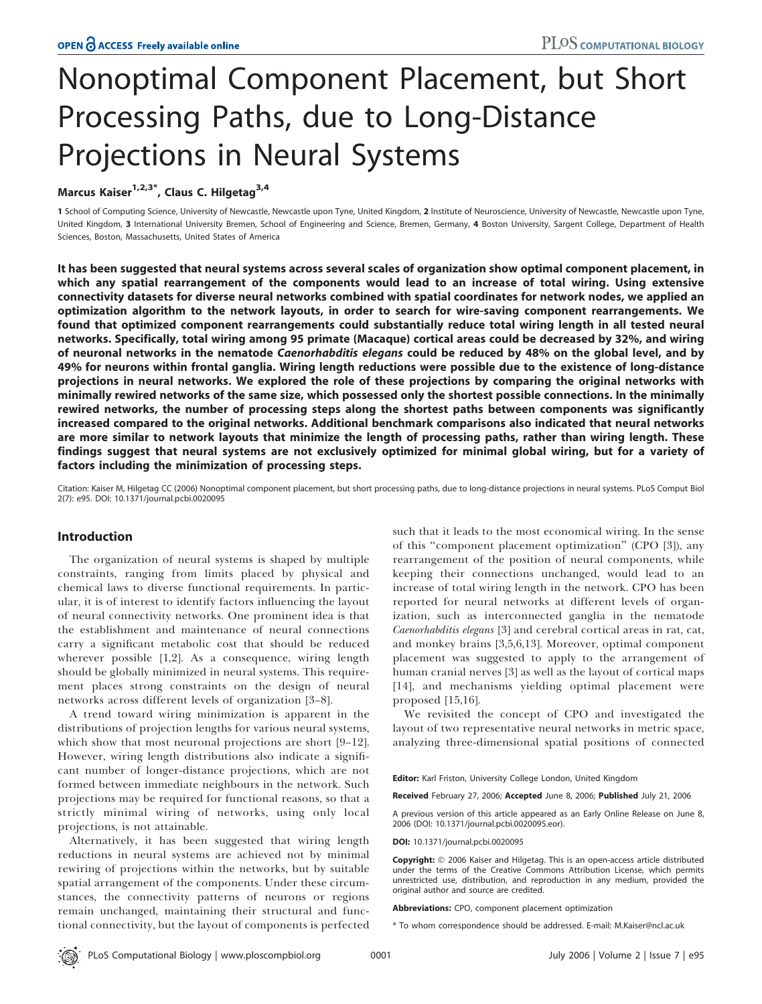# Nonoptimal Component Placement, but Short Processing Paths, due to Long-Distance Projections in Neural Systems

Marcus Kaiser $1,2,3^*$ , Claus C. Hilgetag $3,4$ 

1 School of Computing Science, University of Newcastle, Newcastle upon Tyne, United Kingdom, 2 Institute of Neuroscience, University of Newcastle, Newcastle upon Tyne, United Kingdom, 3 International University Bremen, School of Engineering and Science, Bremen, Germany, 4 Boston University, Sargent College, Department of Health Sciences, Boston, Massachusetts, United States of America

It has been suggested that neural systems across several scales of organization show optimal component placement, in which any spatial rearrangement of the components would lead to an increase of total wiring. Using extensive connectivity datasets for diverse neural networks combined with spatial coordinates for network nodes, we applied an optimization algorithm to the network layouts, in order to search for wire-saving component rearrangements. We found that optimized component rearrangements could substantially reduce total wiring length in all tested neural networks. Specifically, total wiring among 95 primate (Macaque) cortical areas could be decreased by 32%, and wiring of neuronal networks in the nematode Caenorhabditis elegans could be reduced by 48% on the global level, and by 49% for neurons within frontal ganglia. Wiring length reductions were possible due to the existence of long-distance projections in neural networks. We explored the role of these projections by comparing the original networks with minimally rewired networks of the same size, which possessed only the shortest possible connections. In the minimally rewired networks, the number of processing steps along the shortest paths between components was significantly increased compared to the original networks. Additional benchmark comparisons also indicated that neural networks are more similar to network layouts that minimize the length of processing paths, rather than wiring length. These findings suggest that neural systems are not exclusively optimized for minimal global wiring, but for a variety of factors including the minimization of processing steps.

Citation: Kaiser M, Hilgetag CC (2006) Nonoptimal component placement, but short processing paths, due to long-distance projections in neural systems. PLoS Comput Biol 2(7): e95. DOI: 10.1371/journal.pcbi.0020095

# Introduction

The organization of neural systems is shaped by multiple constraints, ranging from limits placed by physical and chemical laws to diverse functional requirements. In particular, it is of interest to identify factors influencing the layout of neural connectivity networks. One prominent idea is that the establishment and maintenance of neural connections carry a significant metabolic cost that should be reduced wherever possible [1,2]. As a consequence, wiring length should be globally minimized in neural systems. This requirement places strong constraints on the design of neural networks across different levels of organization [3–8].

A trend toward wiring minimization is apparent in the distributions of projection lengths for various neural systems, which show that most neuronal projections are short [9–12]. However, wiring length distributions also indicate a significant number of longer-distance projections, which are not formed between immediate neighbours in the network. Such projections may be required for functional reasons, so that a strictly minimal wiring of networks, using only local projections, is not attainable.

Alternatively, it has been suggested that wiring length reductions in neural systems are achieved not by minimal rewiring of projections within the networks, but by suitable spatial arrangement of the components. Under these circumstances, the connectivity patterns of neurons or regions remain unchanged, maintaining their structural and functional connectivity, but the layout of components is perfected such that it leads to the most economical wiring. In the sense of this ''component placement optimization'' (CPO [3]), any rearrangement of the position of neural components, while keeping their connections unchanged, would lead to an increase of total wiring length in the network. CPO has been reported for neural networks at different levels of organization, such as interconnected ganglia in the nematode Caenorhabditis elegans [3] and cerebral cortical areas in rat, cat, and monkey brains [3,5,6,13]. Moreover, optimal component placement was suggested to apply to the arrangement of human cranial nerves [3] as well as the layout of cortical maps [14], and mechanisms yielding optimal placement were proposed [15,16].

We revisited the concept of CPO and investigated the layout of two representative neural networks in metric space, analyzing three-dimensional spatial positions of connected

Editor: Karl Friston, University College London, United Kingdom

Received February 27, 2006; Accepted June 8, 2006; Published July 21, 2006

A previous version of this article appeared as an Early Online Release on June 8, 2006 (DOI: 10.1371/journal.pcbi.0020095.eor).

DOI: 10.1371/journal.pcbi.0020095

Copyright: © 2006 Kaiser and Hilgetag. This is an open-access article distributed under the terms of the Creative Commons Attribution License, which permits unrestricted use, distribution, and reproduction in any medium, provided the original author and source are credited.

Abbreviations: CPO, component placement optimization

\* To whom correspondence should be addressed. E-mail: M.Kaiser@ncl.ac.uk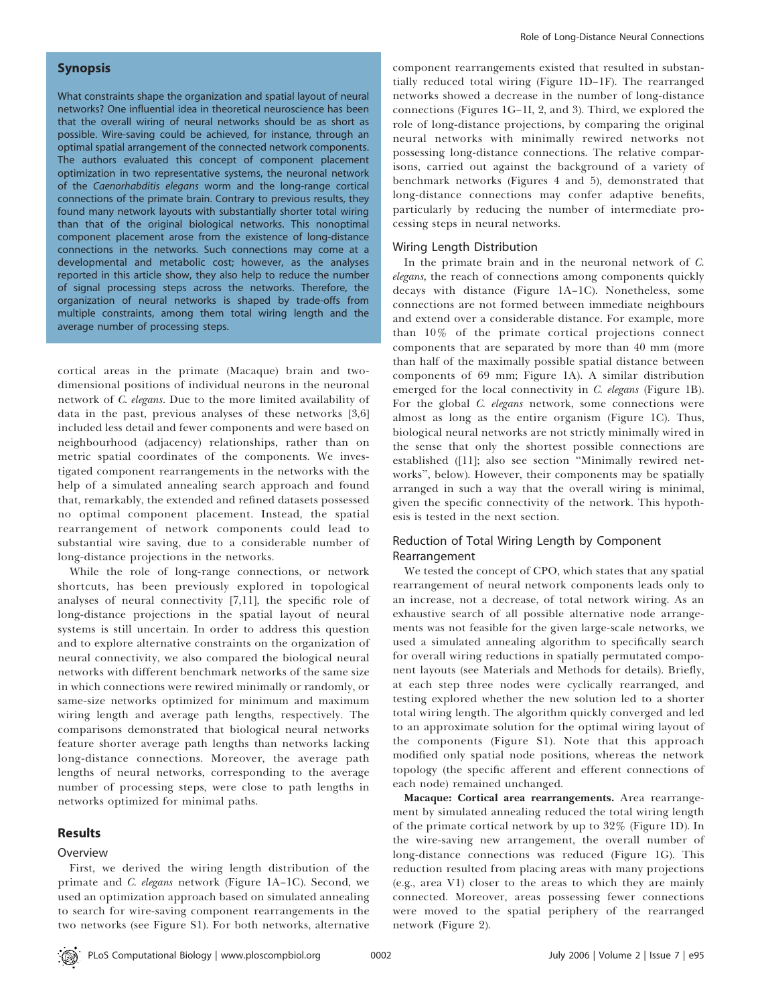### Synopsis

What constraints shape the organization and spatial layout of neural networks? One influential idea in theoretical neuroscience has been that the overall wiring of neural networks should be as short as possible. Wire-saving could be achieved, for instance, through an optimal spatial arrangement of the connected network components. The authors evaluated this concept of component placement optimization in two representative systems, the neuronal network of the Caenorhabditis elegans worm and the long-range cortical connections of the primate brain. Contrary to previous results, they found many network layouts with substantially shorter total wiring than that of the original biological networks. This nonoptimal component placement arose from the existence of long-distance connections in the networks. Such connections may come at a developmental and metabolic cost; however, as the analyses reported in this article show, they also help to reduce the number of signal processing steps across the networks. Therefore, the organization of neural networks is shaped by trade-offs from multiple constraints, among them total wiring length and the average number of processing steps.

cortical areas in the primate (Macaque) brain and twodimensional positions of individual neurons in the neuronal network of C. elegans. Due to the more limited availability of data in the past, previous analyses of these networks [3,6] included less detail and fewer components and were based on neighbourhood (adjacency) relationships, rather than on metric spatial coordinates of the components. We investigated component rearrangements in the networks with the help of a simulated annealing search approach and found that, remarkably, the extended and refined datasets possessed no optimal component placement. Instead, the spatial rearrangement of network components could lead to substantial wire saving, due to a considerable number of long-distance projections in the networks.

While the role of long-range connections, or network shortcuts, has been previously explored in topological analyses of neural connectivity [7,11], the specific role of long-distance projections in the spatial layout of neural systems is still uncertain. In order to address this question and to explore alternative constraints on the organization of neural connectivity, we also compared the biological neural networks with different benchmark networks of the same size in which connections were rewired minimally or randomly, or same-size networks optimized for minimum and maximum wiring length and average path lengths, respectively. The comparisons demonstrated that biological neural networks feature shorter average path lengths than networks lacking long-distance connections. Moreover, the average path lengths of neural networks, corresponding to the average number of processing steps, were close to path lengths in networks optimized for minimal paths.

#### Results

#### Overview

First, we derived the wiring length distribution of the primate and C. elegans network (Figure 1A-1C). Second, we used an optimization approach based on simulated annealing to search for wire-saving component rearrangements in the two networks (see Figure S1). For both networks, alternative component rearrangements existed that resulted in substantially reduced total wiring (Figure 1D–1F). The rearranged networks showed a decrease in the number of long-distance connections (Figures 1G–1I, 2, and 3). Third, we explored the role of long-distance projections, by comparing the original neural networks with minimally rewired networks not possessing long-distance connections. The relative comparisons, carried out against the background of a variety of benchmark networks (Figures 4 and 5), demonstrated that long-distance connections may confer adaptive benefits, particularly by reducing the number of intermediate processing steps in neural networks.

#### Wiring Length Distribution

In the primate brain and in the neuronal network of C. elegans, the reach of connections among components quickly decays with distance (Figure 1A–1C). Nonetheless, some connections are not formed between immediate neighbours and extend over a considerable distance. For example, more than 10% of the primate cortical projections connect components that are separated by more than 40 mm (more than half of the maximally possible spatial distance between components of 69 mm; Figure 1A). A similar distribution emerged for the local connectivity in C. elegans (Figure 1B). For the global C. elegans network, some connections were almost as long as the entire organism (Figure 1C). Thus, biological neural networks are not strictly minimally wired in the sense that only the shortest possible connections are established ([11]; also see section ''Minimally rewired networks'', below). However, their components may be spatially arranged in such a way that the overall wiring is minimal, given the specific connectivity of the network. This hypothesis is tested in the next section.

# Reduction of Total Wiring Length by Component Rearrangement

We tested the concept of CPO, which states that any spatial rearrangement of neural network components leads only to an increase, not a decrease, of total network wiring. As an exhaustive search of all possible alternative node arrangements was not feasible for the given large-scale networks, we used a simulated annealing algorithm to specifically search for overall wiring reductions in spatially permutated component layouts (see Materials and Methods for details). Briefly, at each step three nodes were cyclically rearranged, and testing explored whether the new solution led to a shorter total wiring length. The algorithm quickly converged and led to an approximate solution for the optimal wiring layout of the components (Figure S1). Note that this approach modified only spatial node positions, whereas the network topology (the specific afferent and efferent connections of each node) remained unchanged.

Macaque: Cortical area rearrangements. Area rearrangement by simulated annealing reduced the total wiring length of the primate cortical network by up to 32% (Figure 1D). In the wire-saving new arrangement, the overall number of long-distance connections was reduced (Figure 1G). This reduction resulted from placing areas with many projections (e.g., area V1) closer to the areas to which they are mainly connected. Moreover, areas possessing fewer connections were moved to the spatial periphery of the rearranged network (Figure 2).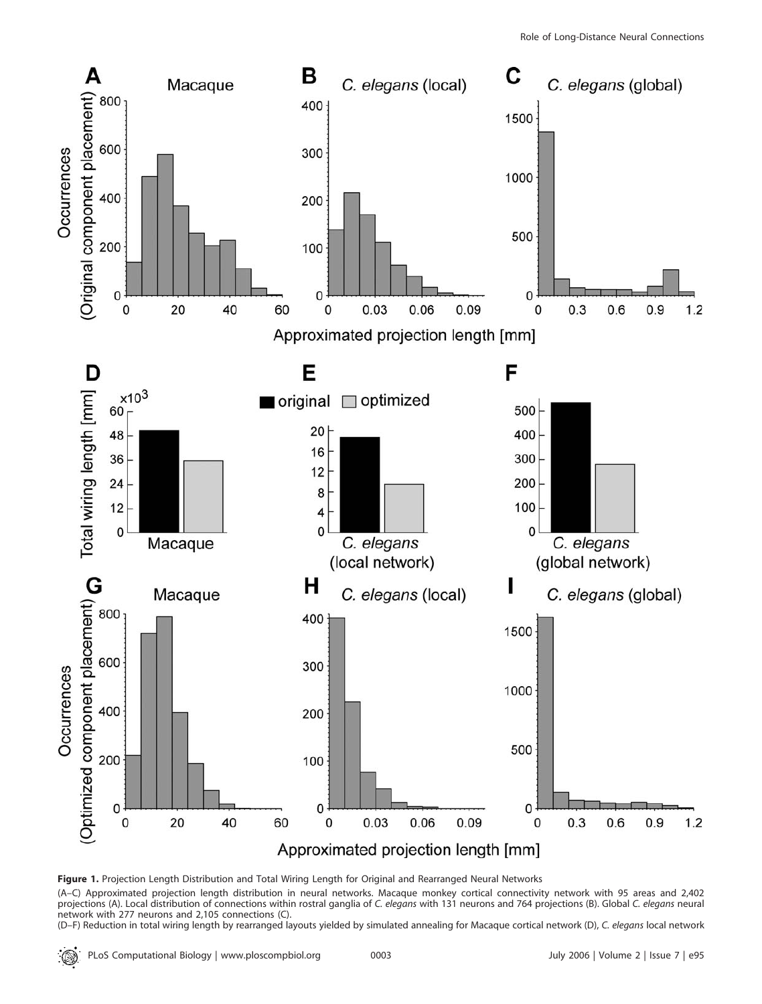

Figure 1. Projection Length Distribution and Total Wiring Length for Original and Rearranged Neural Networks

(A–C) Approximated projection length distribution in neural networks. Macaque monkey cortical connectivity network with 95 areas and 2,402 projections (A). Local distribution of connections within rostral ganglia of C. elegans with 131 neurons and 764 projections (B). Global C. elegans neural network with 277 neurons and 2,105 connections (C).

(D-F) Reduction in total wiring length by rearranged layouts yielded by simulated annealing for Macaque cortical network (D), C. elegans local network

: © .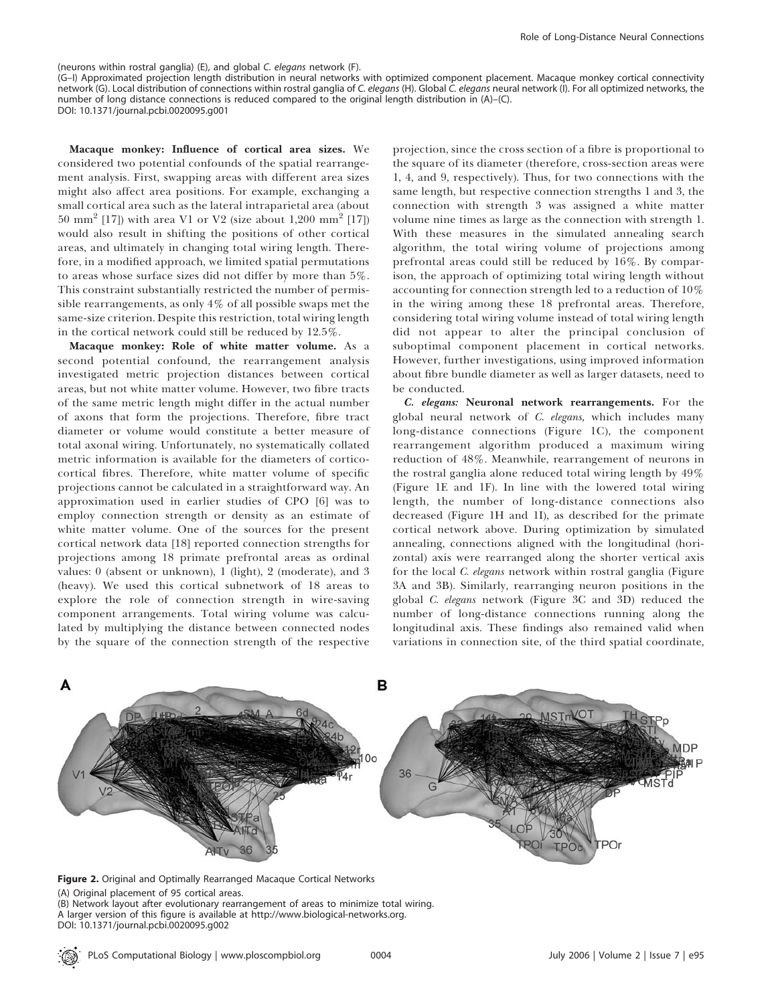#### (neurons within rostral ganglia) (E), and global C. elegans network (F).

(G–I) Approximated projection length distribution in neural networks with optimized component placement. Macaque monkey cortical connectivity network (G). Local distribution of connections within rostral ganglia of C. elegans (H). Global C. elegans neural network (I). For all optimized networks, the number of long distance connections is reduced compared to the original length distribution in (A)–(C). DOI: 10.1371/journal.pcbi.0020095.g001

Macaque monkey: Influence of cortical area sizes. We considered two potential confounds of the spatial rearrangement analysis. First, swapping areas with different area sizes might also affect area positions. For example, exchanging a small cortical area such as the lateral intraparietal area (about 50 mm<sup>2</sup> [17]) with area V1 or V2 (size about 1,200 mm<sup>2</sup> [17]) would also result in shifting the positions of other cortical areas, and ultimately in changing total wiring length. Therefore, in a modified approach, we limited spatial permutations to areas whose surface sizes did not differ by more than 5%. This constraint substantially restricted the number of permissible rearrangements, as only 4% of all possible swaps met the same-size criterion. Despite this restriction, total wiring length in the cortical network could still be reduced by 12.5%.

Macaque monkey: Role of white matter volume. As a second potential confound, the rearrangement analysis investigated metric projection distances between cortical areas, but not white matter volume. However, two fibre tracts of the same metric length might differ in the actual number of axons that form the projections. Therefore, fibre tract diameter or volume would constitute a better measure of total axonal wiring. Unfortunately, no systematically collated metric information is available for the diameters of corticocortical fibres. Therefore, white matter volume of specific projections cannot be calculated in a straightforward way. An approximation used in earlier studies of CPO [6] was to employ connection strength or density as an estimate of white matter volume. One of the sources for the present cortical network data [18] reported connection strengths for projections among 18 primate prefrontal areas as ordinal values: 0 (absent or unknown), 1 (light), 2 (moderate), and 3 (heavy). We used this cortical subnetwork of 18 areas to explore the role of connection strength in wire-saving component arrangements. Total wiring volume was calculated by multiplying the distance between connected nodes by the square of the connection strength of the respective projection, since the cross section of a fibre is proportional to the square of its diameter (therefore, cross-section areas were 1, 4, and 9, respectively). Thus, for two connections with the same length, but respective connection strengths 1 and 3, the connection with strength 3 was assigned a white matter volume nine times as large as the connection with strength 1. With these measures in the simulated annealing search algorithm, the total wiring volume of projections among prefrontal areas could still be reduced by 16%. By comparison, the approach of optimizing total wiring length without accounting for connection strength led to a reduction of 10% in the wiring among these 18 prefrontal areas. Therefore, considering total wiring volume instead of total wiring length did not appear to alter the principal conclusion of suboptimal component placement in cortical networks. However, further investigations, using improved information about fibre bundle diameter as well as larger datasets, need to be conducted.

C. elegans: Neuronal network rearrangements. For the global neural network of C. elegans, which includes many long-distance connections (Figure 1C), the component rearrangement algorithm produced a maximum wiring reduction of 48%. Meanwhile, rearrangement of neurons in the rostral ganglia alone reduced total wiring length by 49% (Figure 1E and 1F). In line with the lowered total wiring length, the number of long-distance connections also decreased (Figure 1H and 1I), as described for the primate cortical network above. During optimization by simulated annealing, connections aligned with the longitudinal (horizontal) axis were rearranged along the shorter vertical axis for the local C. elegans network within rostral ganglia (Figure 3A and 3B). Similarly, rearranging neuron positions in the global C. elegans network (Figure 3C and 3D) reduced the number of long-distance connections running along the longitudinal axis. These findings also remained valid when variations in connection site, of the third spatial coordinate,



Figure 2. Original and Optimally Rearranged Macaque Cortical Networks (A) Original placement of 95 cortical areas. (B) Network layout after evolutionary rearrangement of areas to minimize total wiring. A larger version of this figure is available at http://www.biological-networks.org. DOI: 10.1371/journal.pcbi.0020095.g002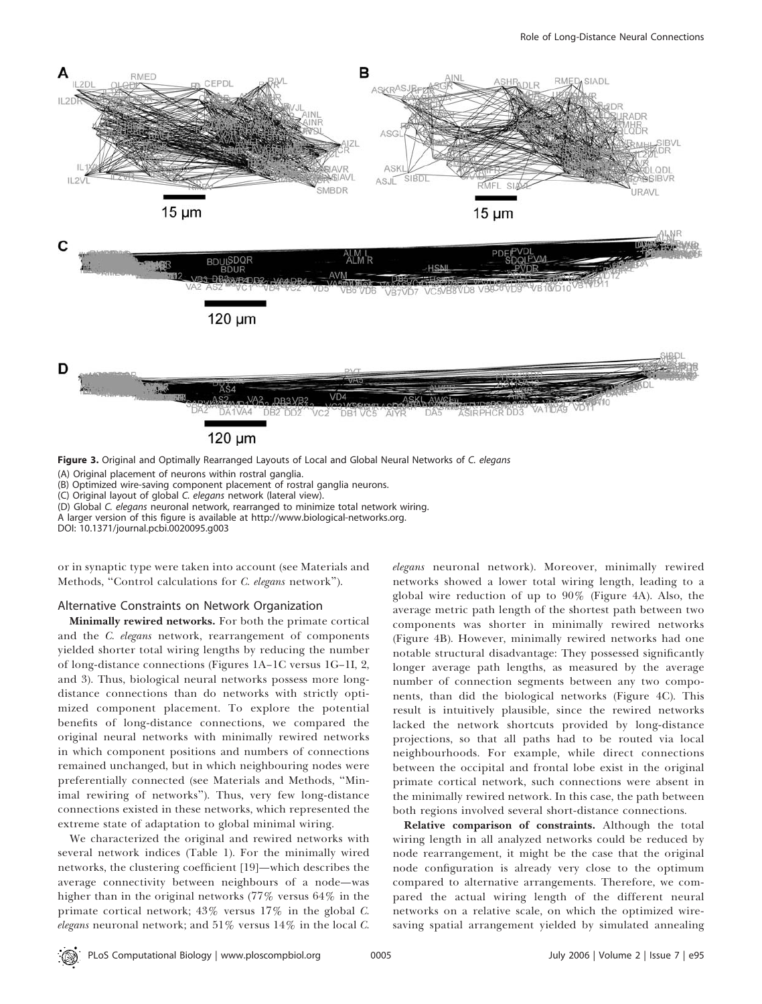

Figure 3. Original and Optimally Rearranged Layouts of Local and Global Neural Networks of C. elegans

(A) Original placement of neurons within rostral ganglia.

(B) Optimized wire-saving component placement of rostral ganglia neurons.

(C) Original layout of global C. elegans network (lateral view).

(D) Global C. elegans neuronal network, rearranged to minimize total network wiring.

A larger version of this figure is available at http://www.biological-networks.org.

DOI: 10.1371/journal.pcbi.0020095.g003

or in synaptic type were taken into account (see Materials and Methods, "Control calculations for C. elegans network").

#### Alternative Constraints on Network Organization

Minimally rewired networks. For both the primate cortical and the C. elegans network, rearrangement of components yielded shorter total wiring lengths by reducing the number of long-distance connections (Figures 1A–1C versus 1G–1I, 2, and 3). Thus, biological neural networks possess more longdistance connections than do networks with strictly optimized component placement. To explore the potential benefits of long-distance connections, we compared the original neural networks with minimally rewired networks in which component positions and numbers of connections remained unchanged, but in which neighbouring nodes were preferentially connected (see Materials and Methods, ''Minimal rewiring of networks''). Thus, very few long-distance connections existed in these networks, which represented the extreme state of adaptation to global minimal wiring.

We characterized the original and rewired networks with several network indices (Table 1). For the minimally wired networks, the clustering coefficient [19]—which describes the average connectivity between neighbours of a node—was higher than in the original networks (77% versus 64% in the primate cortical network; 43% versus 17% in the global C. elegans neuronal network; and  $51\%$  versus  $14\%$  in the local C.

elegans neuronal network). Moreover, minimally rewired networks showed a lower total wiring length, leading to a global wire reduction of up to 90% (Figure 4A). Also, the average metric path length of the shortest path between two components was shorter in minimally rewired networks (Figure 4B). However, minimally rewired networks had one notable structural disadvantage: They possessed significantly longer average path lengths, as measured by the average number of connection segments between any two components, than did the biological networks (Figure 4C). This result is intuitively plausible, since the rewired networks lacked the network shortcuts provided by long-distance projections, so that all paths had to be routed via local neighbourhoods. For example, while direct connections between the occipital and frontal lobe exist in the original primate cortical network, such connections were absent in the minimally rewired network. In this case, the path between both regions involved several short-distance connections.

Relative comparison of constraints. Although the total wiring length in all analyzed networks could be reduced by node rearrangement, it might be the case that the original node configuration is already very close to the optimum compared to alternative arrangements. Therefore, we compared the actual wiring length of the different neural networks on a relative scale, on which the optimized wiresaving spatial arrangement yielded by simulated annealing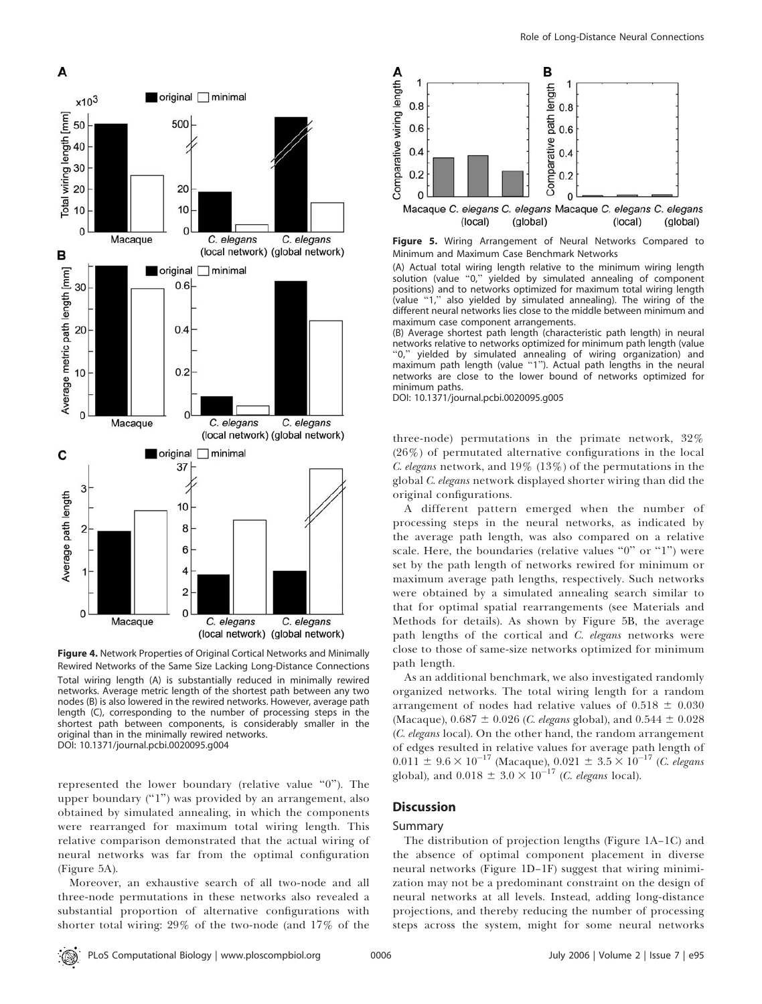

Figure 4. Network Properties of Original Cortical Networks and Minimally Rewired Networks of the Same Size Lacking Long-Distance Connections Total wiring length (A) is substantially reduced in minimally rewired networks. Average metric length of the shortest path between any two nodes (B) is also lowered in the rewired networks. However, average path length (C), corresponding to the number of processing steps in the shortest path between components, is considerably smaller in the original than in the minimally rewired networks. DOI: 10.1371/journal.pcbi.0020095.g004

represented the lower boundary (relative value ''0''). The upper boundary  $("1")$  was provided by an arrangement, also obtained by simulated annealing, in which the components were rearranged for maximum total wiring length. This relative comparison demonstrated that the actual wiring of neural networks was far from the optimal configuration (Figure 5A).

Moreover, an exhaustive search of all two-node and all three-node permutations in these networks also revealed a substantial proportion of alternative configurations with shorter total wiring: 29% of the two-node (and 17% of the



Figure 5. Wiring Arrangement of Neural Networks Compared to Minimum and Maximum Case Benchmark Networks

(A) Actual total wiring length relative to the minimum wiring length solution (value "0," yielded by simulated annealing of component positions) and to networks optimized for maximum total wiring length (value "1," also yielded by simulated annealing). The wiring of the different neural networks lies close to the middle between minimum and maximum case component arrangements.

(B) Average shortest path length (characteristic path length) in neural networks relative to networks optimized for minimum path length (value<br>"0." vielded by simulated annealing of wiring organization) and yielded by simulated annealing of wiring organization) and maximum path length (value "1"). Actual path lengths in the neural networks are close to the lower bound of networks optimized for minimum paths.

DOI: 10.1371/journal.pcbi.0020095.g005

three-node) permutations in the primate network, 32% (26%) of permutated alternative configurations in the local C. elegans network, and  $19\%$  ( $13\%$ ) of the permutations in the global C. elegans network displayed shorter wiring than did the original configurations.

A different pattern emerged when the number of processing steps in the neural networks, as indicated by the average path length, was also compared on a relative scale. Here, the boundaries (relative values " $0$ " or "1") were set by the path length of networks rewired for minimum or maximum average path lengths, respectively. Such networks were obtained by a simulated annealing search similar to that for optimal spatial rearrangements (see Materials and Methods for details). As shown by Figure 5B, the average path lengths of the cortical and C. elegans networks were close to those of same-size networks optimized for minimum path length.

As an additional benchmark, we also investigated randomly organized networks. The total wiring length for a random arrangement of nodes had relative values of  $0.518 \pm 0.030$ (Macaque),  $0.687 \pm 0.026$  (*C. elegans* global), and  $0.544 \pm 0.028$ (C. elegans local). On the other hand, the random arrangement of edges resulted in relative values for average path length of  $0.011 \pm 9.6 \times 10^{-17}$  (Macaque),  $0.021 \pm 3.5 \times 10^{-17}$  (C. elegans global), and  $0.018 \pm 3.0 \times 10^{-17}$  (*C. elegans* local).

## **Discussion**

#### Summary

The distribution of projection lengths (Figure 1A–1C) and the absence of optimal component placement in diverse neural networks (Figure 1D–1F) suggest that wiring minimization may not be a predominant constraint on the design of neural networks at all levels. Instead, adding long-distance projections, and thereby reducing the number of processing steps across the system, might for some neural networks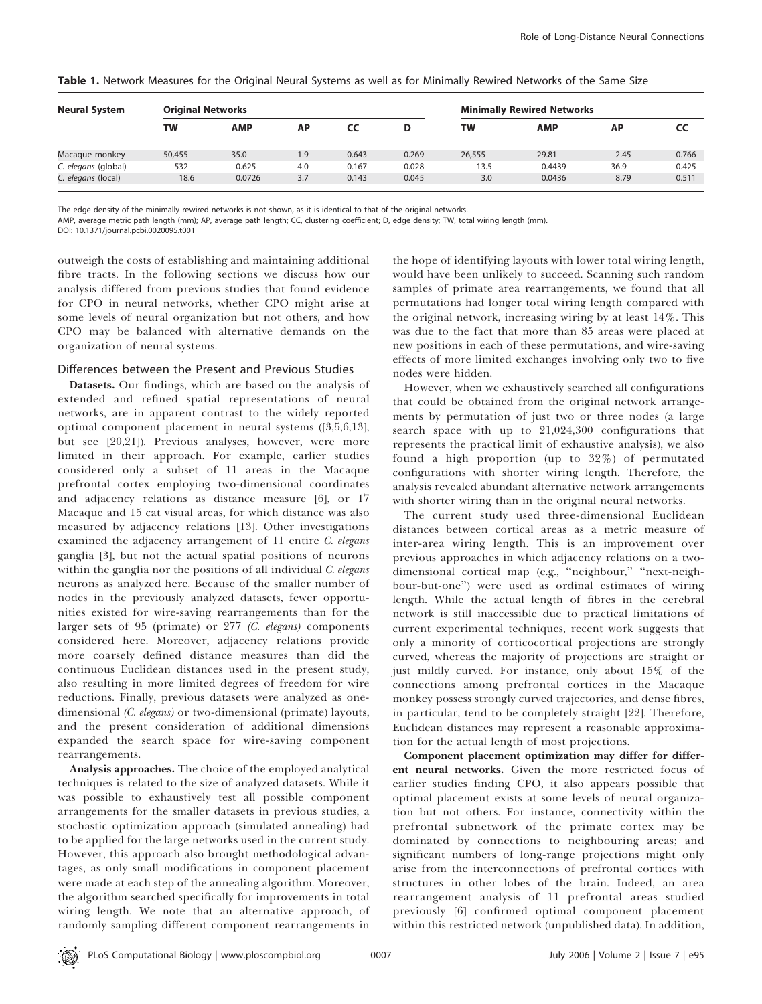| <b>Neural System</b> | <b>Original Networks</b> |            |     |       |       | <b>Minimally Rewired Networks</b> |            |      |       |
|----------------------|--------------------------|------------|-----|-------|-------|-----------------------------------|------------|------|-------|
|                      | TW                       | <b>AMP</b> | AP  | CC    |       | TW                                | <b>AMP</b> | AP   | CC    |
| Macaque monkey       | 50,455                   | 35.0       | 1.9 | 0.643 | 0.269 | 26,555                            | 29.81      | 2.45 | 0.766 |
| C. elegans (global)  | 532                      | 0.625      | 4.0 | 0.167 | 0.028 | 13.5                              | 0.4439     | 36.9 | 0.425 |
| C. elegans (local)   | 18.6                     | 0.0726     | 3.7 | 0.143 | 0.045 | 3.0                               | 0.0436     | 8.79 | 0.511 |

Table 1. Network Measures for the Original Neural Systems as well as for Minimally Rewired Networks of the Same Size

The edge density of the minimally rewired networks is not shown, as it is identical to that of the original networks.

AMP, average metric path length (mm); AP, average path length; CC, clustering coefficient; D, edge density; TW, total wiring length (mm).

DOI: 10.1371/journal.pcbi.0020095.t001

outweigh the costs of establishing and maintaining additional fibre tracts. In the following sections we discuss how our analysis differed from previous studies that found evidence for CPO in neural networks, whether CPO might arise at some levels of neural organization but not others, and how CPO may be balanced with alternative demands on the organization of neural systems.

# Differences between the Present and Previous Studies

Datasets. Our findings, which are based on the analysis of extended and refined spatial representations of neural networks, are in apparent contrast to the widely reported optimal component placement in neural systems ([3,5,6,13], but see [20,21]). Previous analyses, however, were more limited in their approach. For example, earlier studies considered only a subset of 11 areas in the Macaque prefrontal cortex employing two-dimensional coordinates and adjacency relations as distance measure [6], or 17 Macaque and 15 cat visual areas, for which distance was also measured by adjacency relations [13]. Other investigations examined the adjacency arrangement of 11 entire C. elegans ganglia [3], but not the actual spatial positions of neurons within the ganglia nor the positions of all individual C. elegans neurons as analyzed here. Because of the smaller number of nodes in the previously analyzed datasets, fewer opportunities existed for wire-saving rearrangements than for the larger sets of 95 (primate) or 277 (C. elegans) components considered here. Moreover, adjacency relations provide more coarsely defined distance measures than did the continuous Euclidean distances used in the present study, also resulting in more limited degrees of freedom for wire reductions. Finally, previous datasets were analyzed as onedimensional (C. elegans) or two-dimensional (primate) layouts, and the present consideration of additional dimensions expanded the search space for wire-saving component rearrangements.

Analysis approaches. The choice of the employed analytical techniques is related to the size of analyzed datasets. While it was possible to exhaustively test all possible component arrangements for the smaller datasets in previous studies, a stochastic optimization approach (simulated annealing) had to be applied for the large networks used in the current study. However, this approach also brought methodological advantages, as only small modifications in component placement were made at each step of the annealing algorithm. Moreover, the algorithm searched specifically for improvements in total wiring length. We note that an alternative approach, of randomly sampling different component rearrangements in

the hope of identifying layouts with lower total wiring length, would have been unlikely to succeed. Scanning such random samples of primate area rearrangements, we found that all permutations had longer total wiring length compared with the original network, increasing wiring by at least 14%. This was due to the fact that more than 85 areas were placed at new positions in each of these permutations, and wire-saving effects of more limited exchanges involving only two to five nodes were hidden.

However, when we exhaustively searched all configurations that could be obtained from the original network arrangements by permutation of just two or three nodes (a large search space with up to 21,024,300 configurations that represents the practical limit of exhaustive analysis), we also found a high proportion (up to 32%) of permutated configurations with shorter wiring length. Therefore, the analysis revealed abundant alternative network arrangements with shorter wiring than in the original neural networks.

The current study used three-dimensional Euclidean distances between cortical areas as a metric measure of inter-area wiring length. This is an improvement over previous approaches in which adjacency relations on a twodimensional cortical map (e.g., ''neighbour,'' ''next-neighbour-but-one'') were used as ordinal estimates of wiring length. While the actual length of fibres in the cerebral network is still inaccessible due to practical limitations of current experimental techniques, recent work suggests that only a minority of corticocortical projections are strongly curved, whereas the majority of projections are straight or just mildly curved. For instance, only about 15% of the connections among prefrontal cortices in the Macaque monkey possess strongly curved trajectories, and dense fibres, in particular, tend to be completely straight [22]. Therefore, Euclidean distances may represent a reasonable approximation for the actual length of most projections.

Component placement optimization may differ for different neural networks. Given the more restricted focus of earlier studies finding CPO, it also appears possible that optimal placement exists at some levels of neural organization but not others. For instance, connectivity within the prefrontal subnetwork of the primate cortex may be dominated by connections to neighbouring areas; and significant numbers of long-range projections might only arise from the interconnections of prefrontal cortices with structures in other lobes of the brain. Indeed, an area rearrangement analysis of 11 prefrontal areas studied previously [6] confirmed optimal component placement within this restricted network (unpublished data). In addition,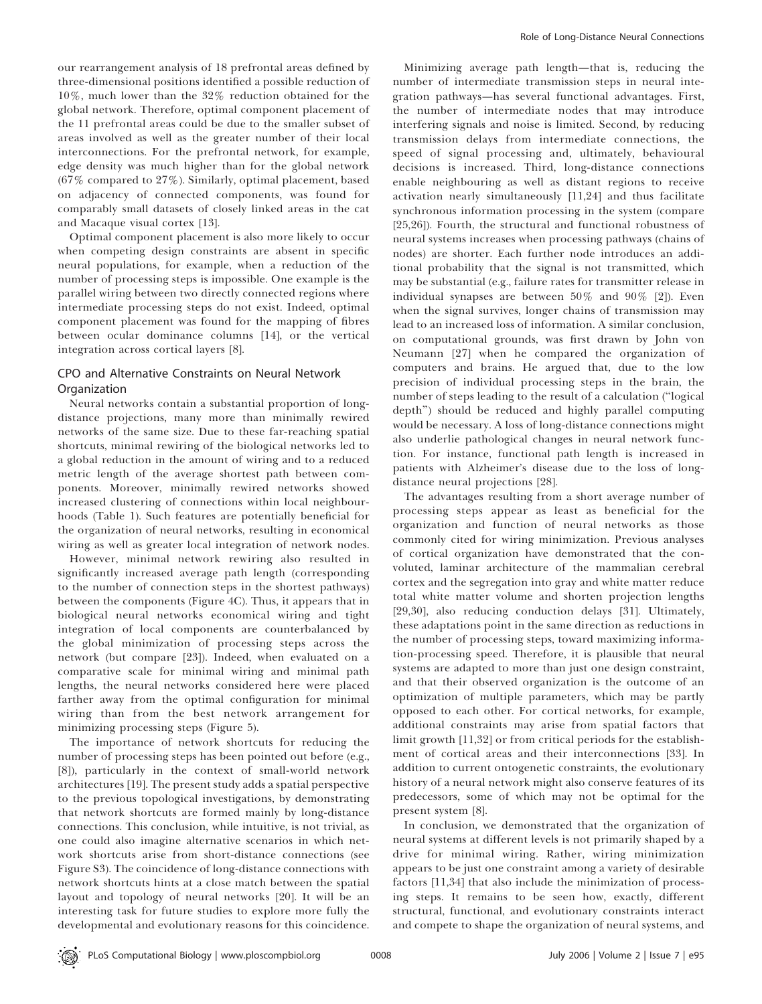our rearrangement analysis of 18 prefrontal areas defined by three-dimensional positions identified a possible reduction of 10%, much lower than the 32% reduction obtained for the global network. Therefore, optimal component placement of the 11 prefrontal areas could be due to the smaller subset of areas involved as well as the greater number of their local interconnections. For the prefrontal network, for example, edge density was much higher than for the global network  $(67\%$  compared to  $27\%$ ). Similarly, optimal placement, based on adjacency of connected components, was found for comparably small datasets of closely linked areas in the cat and Macaque visual cortex [13].

Optimal component placement is also more likely to occur when competing design constraints are absent in specific neural populations, for example, when a reduction of the number of processing steps is impossible. One example is the parallel wiring between two directly connected regions where intermediate processing steps do not exist. Indeed, optimal component placement was found for the mapping of fibres between ocular dominance columns [14], or the vertical integration across cortical layers [8].

## CPO and Alternative Constraints on Neural Network Organization

Neural networks contain a substantial proportion of longdistance projections, many more than minimally rewired networks of the same size. Due to these far-reaching spatial shortcuts, minimal rewiring of the biological networks led to a global reduction in the amount of wiring and to a reduced metric length of the average shortest path between components. Moreover, minimally rewired networks showed increased clustering of connections within local neighbourhoods (Table 1). Such features are potentially beneficial for the organization of neural networks, resulting in economical wiring as well as greater local integration of network nodes.

However, minimal network rewiring also resulted in significantly increased average path length (corresponding to the number of connection steps in the shortest pathways) between the components (Figure 4C). Thus, it appears that in biological neural networks economical wiring and tight integration of local components are counterbalanced by the global minimization of processing steps across the network (but compare [23]). Indeed, when evaluated on a comparative scale for minimal wiring and minimal path lengths, the neural networks considered here were placed farther away from the optimal configuration for minimal wiring than from the best network arrangement for minimizing processing steps (Figure 5).

The importance of network shortcuts for reducing the number of processing steps has been pointed out before (e.g., [8]), particularly in the context of small-world network architectures [19]. The present study adds a spatial perspective to the previous topological investigations, by demonstrating that network shortcuts are formed mainly by long-distance connections. This conclusion, while intuitive, is not trivial, as one could also imagine alternative scenarios in which network shortcuts arise from short-distance connections (see Figure S3). The coincidence of long-distance connections with network shortcuts hints at a close match between the spatial layout and topology of neural networks [20]. It will be an interesting task for future studies to explore more fully the developmental and evolutionary reasons for this coincidence.

Minimizing average path length—that is, reducing the number of intermediate transmission steps in neural integration pathways—has several functional advantages. First, the number of intermediate nodes that may introduce interfering signals and noise is limited. Second, by reducing transmission delays from intermediate connections, the speed of signal processing and, ultimately, behavioural decisions is increased. Third, long-distance connections enable neighbouring as well as distant regions to receive activation nearly simultaneously [11,24] and thus facilitate synchronous information processing in the system (compare [25,26]). Fourth, the structural and functional robustness of neural systems increases when processing pathways (chains of nodes) are shorter. Each further node introduces an additional probability that the signal is not transmitted, which may be substantial (e.g., failure rates for transmitter release in individual synapses are between 50% and 90% [2]). Even when the signal survives, longer chains of transmission may lead to an increased loss of information. A similar conclusion, on computational grounds, was first drawn by John von Neumann [27] when he compared the organization of computers and brains. He argued that, due to the low precision of individual processing steps in the brain, the number of steps leading to the result of a calculation (''logical depth'') should be reduced and highly parallel computing would be necessary. A loss of long-distance connections might also underlie pathological changes in neural network function. For instance, functional path length is increased in patients with Alzheimer's disease due to the loss of longdistance neural projections [28].

The advantages resulting from a short average number of processing steps appear as least as beneficial for the organization and function of neural networks as those commonly cited for wiring minimization. Previous analyses of cortical organization have demonstrated that the convoluted, laminar architecture of the mammalian cerebral cortex and the segregation into gray and white matter reduce total white matter volume and shorten projection lengths [29,30], also reducing conduction delays [31]. Ultimately, these adaptations point in the same direction as reductions in the number of processing steps, toward maximizing information-processing speed. Therefore, it is plausible that neural systems are adapted to more than just one design constraint, and that their observed organization is the outcome of an optimization of multiple parameters, which may be partly opposed to each other. For cortical networks, for example, additional constraints may arise from spatial factors that limit growth [11,32] or from critical periods for the establishment of cortical areas and their interconnections [33]. In addition to current ontogenetic constraints, the evolutionary history of a neural network might also conserve features of its predecessors, some of which may not be optimal for the present system [8].

In conclusion, we demonstrated that the organization of neural systems at different levels is not primarily shaped by a drive for minimal wiring. Rather, wiring minimization appears to be just one constraint among a variety of desirable factors [11,34] that also include the minimization of processing steps. It remains to be seen how, exactly, different structural, functional, and evolutionary constraints interact and compete to shape the organization of neural systems, and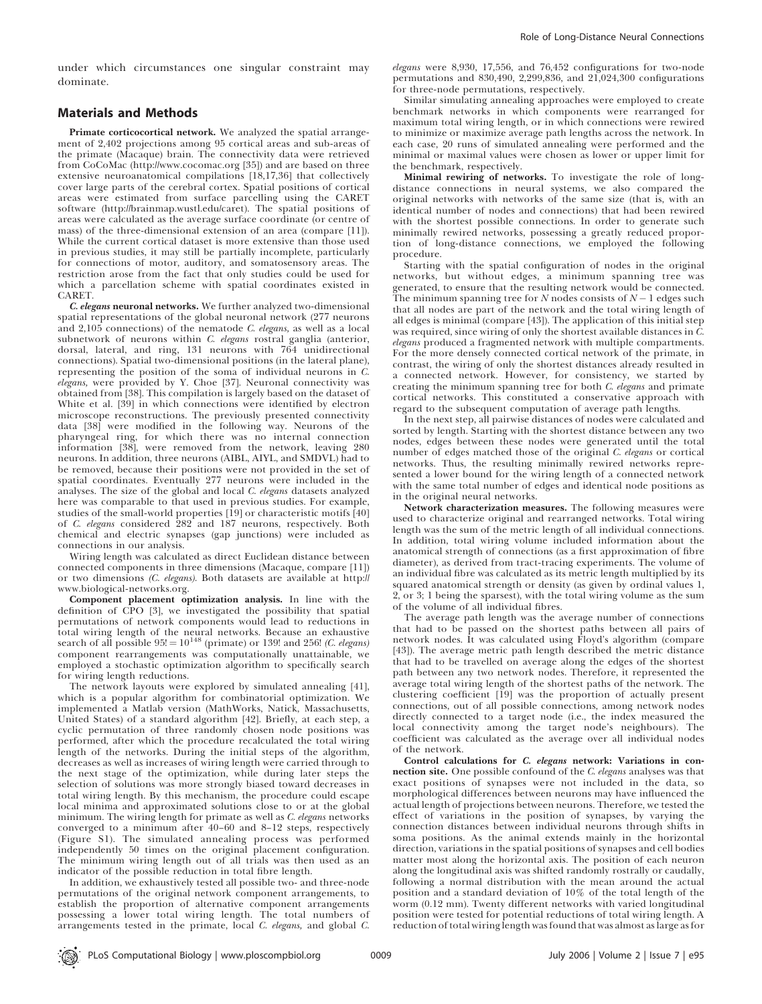under which circumstances one singular constraint may dominate.

#### Materials and Methods

Primate corticocortical network. We analyzed the spatial arrangement of 2,402 projections among 95 cortical areas and sub-areas of the primate (Macaque) brain. The connectivity data were retrieved from CoCoMac (http://www.cocomac.org [35]) and are based on three extensive neuroanatomical compilations [18,17,36] that collectively cover large parts of the cerebral cortex. Spatial positions of cortical areas were estimated from surface parcelling using the CARET software (http://brainmap.wustl.edu/caret). The spatial positions of areas were calculated as the average surface coordinate (or centre of mass) of the three-dimensional extension of an area (compare [11]). While the current cortical dataset is more extensive than those used in previous studies, it may still be partially incomplete, particularly for connections of motor, auditory, and somatosensory areas. The restriction arose from the fact that only studies could be used for which a parcellation scheme with spatial coordinates existed in CARET.

C. elegans neuronal networks. We further analyzed two-dimensional spatial representations of the global neuronal network (277 neurons and 2,105 connections) of the nematode C. elegans, as well as a local subnetwork of neurons within C. elegans rostral ganglia (anterior, dorsal, lateral, and ring, 131 neurons with 764 unidirectional connections). Spatial two-dimensional positions (in the lateral plane), representing the position of the soma of individual neurons in C. elegans, were provided by Y. Choe [37]. Neuronal connectivity was obtained from [38]. This compilation is largely based on the dataset of White et al. [39] in which connections were identified by electron microscope reconstructions. The previously presented connectivity data [38] were modified in the following way. Neurons of the pharyngeal ring, for which there was no internal connection information [38], were removed from the network, leaving 280 neurons. In addition, three neurons (AIBL, AIYL, and SMDVL) had to be removed, because their positions were not provided in the set of spatial coordinates. Eventually 277 neurons were included in the analyses. The size of the global and local C. elegans datasets analyzed here was comparable to that used in previous studies. For example, studies of the small-world properties [19] or characteristic motifs [40] of C. elegans considered 282 and 187 neurons, respectively. Both chemical and electric synapses (gap junctions) were included as connections in our analysis.

Wiring length was calculated as direct Euclidean distance between connected components in three dimensions (Macaque, compare [11]) or two dimensions (C. elegans). Both datasets are available at http:// www.biological-networks.org.

Component placement optimization analysis. In line with the definition of CPO [3], we investigated the possibility that spatial permutations of network components would lead to reductions in total wiring length of the neural networks. Because an exhaustive search of all possible  $95! = 10^{148}$  (primate) or 139! and 256! (C. elegans) component rearrangements was computationally unattainable, we employed a stochastic optimization algorithm to specifically search for wiring length reductions.

The network layouts were explored by simulated annealing [41], which is a popular algorithm for combinatorial optimization. We implemented a Matlab version (MathWorks, Natick, Massachusetts, United States) of a standard algorithm [42]. Briefly, at each step, a cyclic permutation of three randomly chosen node positions was performed, after which the procedure recalculated the total wiring length of the networks. During the initial steps of the algorithm, decreases as well as increases of wiring length were carried through to the next stage of the optimization, while during later steps the selection of solutions was more strongly biased toward decreases in total wiring length. By this mechanism, the procedure could escape local minima and approximated solutions close to or at the global minimum. The wiring length for primate as well as C. elegans networks converged to a minimum after 40–60 and 8–12 steps, respectively (Figure S1). The simulated annealing process was performed independently 50 times on the original placement configuration. The minimum wiring length out of all trials was then used as an indicator of the possible reduction in total fibre length.

In addition, we exhaustively tested all possible two- and three-node permutations of the original network component arrangements, to establish the proportion of alternative component arrangements possessing a lower total wiring length. The total numbers of arrangements tested in the primate, local C. elegans, and global C.

elegans were 8,930, 17,556, and 76,452 configurations for two-node permutations and 830,490, 2,299,836, and 21,024,300 configurations for three-node permutations, respectively.

Similar simulating annealing approaches were employed to create benchmark networks in which components were rearranged for maximum total wiring length, or in which connections were rewired to minimize or maximize average path lengths across the network. In each case, 20 runs of simulated annealing were performed and the minimal or maximal values were chosen as lower or upper limit for the benchmark, respectively.

Minimal rewiring of networks. To investigate the role of longdistance connections in neural systems, we also compared the original networks with networks of the same size (that is, with an identical number of nodes and connections) that had been rewired with the shortest possible connections. In order to generate such minimally rewired networks, possessing a greatly reduced proportion of long-distance connections, we employed the following procedure.

Starting with the spatial configuration of nodes in the original networks, but without edges, a minimum spanning tree was generated, to ensure that the resulting network would be connected. The minimum spanning tree for  $N$  nodes consists of  $N-1$  edges such that all nodes are part of the network and the total wiring length of all edges is minimal (compare [43]). The application of this initial step was required, since wiring of only the shortest available distances in  $\overline{C}$ . elegans produced a fragmented network with multiple compartments. For the more densely connected cortical network of the primate, in contrast, the wiring of only the shortest distances already resulted in a connected network. However, for consistency, we started by creating the minimum spanning tree for both C. elegans and primate cortical networks. This constituted a conservative approach with regard to the subsequent computation of average path lengths.

In the next step, all pairwise distances of nodes were calculated and sorted by length. Starting with the shortest distance between any two nodes, edges between these nodes were generated until the total number of edges matched those of the original C. elegans or cortical networks. Thus, the resulting minimally rewired networks represented a lower bound for the wiring length of a connected network with the same total number of edges and identical node positions as in the original neural networks.

Network characterization measures. The following measures were used to characterize original and rearranged networks. Total wiring length was the sum of the metric length of all individual connections. In addition, total wiring volume included information about the anatomical strength of connections (as a first approximation of fibre diameter), as derived from tract-tracing experiments. The volume of an individual fibre was calculated as its metric length multiplied by its squared anatomical strength or density (as given by ordinal values 1, 2, or 3; 1 being the sparsest), with the total wiring volume as the sum of the volume of all individual fibres.

The average path length was the average number of connections that had to be passed on the shortest paths between all pairs of network nodes. It was calculated using Floyd's algorithm (compare [43]). The average metric path length described the metric distance that had to be travelled on average along the edges of the shortest path between any two network nodes. Therefore, it represented the average total wiring length of the shortest paths of the network. The clustering coefficient [19] was the proportion of actually present connections, out of all possible connections, among network nodes directly connected to a target node (i.e., the index measured the local connectivity among the target node's neighbours). The coefficient was calculated as the average over all individual nodes of the network.

Control calculations for C. elegans network: Variations in connection site. One possible confound of the C. elegans analyses was that exact positions of synapses were not included in the data, so morphological differences between neurons may have influenced the actual length of projections between neurons. Therefore, we tested the effect of variations in the position of synapses, by varying the connection distances between individual neurons through shifts in soma positions. As the animal extends mainly in the horizontal direction, variations in the spatial positions of synapses and cell bodies matter most along the horizontal axis. The position of each neuron along the longitudinal axis was shifted randomly rostrally or caudally, following a normal distribution with the mean around the actual position and a standard deviation of 10% of the total length of the worm (0.12 mm). Twenty different networks with varied longitudinal position were tested for potential reductions of total wiring length. A reduction of total wiring length was found that was almost as large as for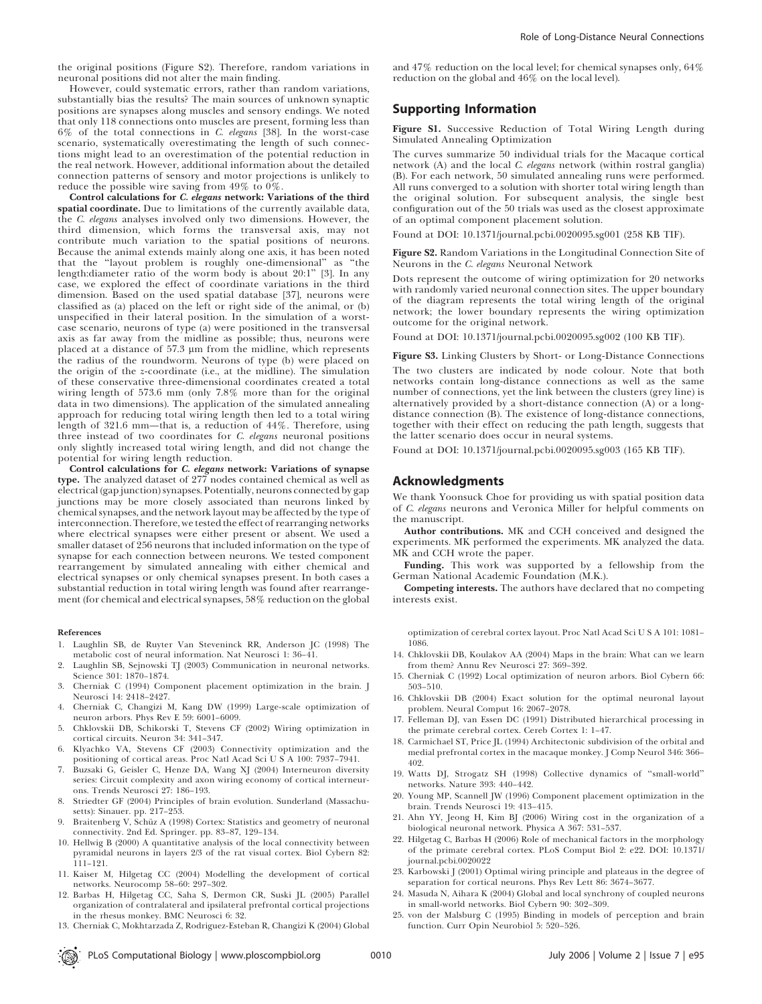the original positions (Figure S2). Therefore, random variations in neuronal positions did not alter the main finding.

However, could systematic errors, rather than random variations, substantially bias the results? The main sources of unknown synaptic positions are synapses along muscles and sensory endings. We noted that only 118 connections onto muscles are present, forming less than 6% of the total connections in C. elegans [38]. In the worst-case scenario, systematically overestimating the length of such connections might lead to an overestimation of the potential reduction in the real network. However, additional information about the detailed connection patterns of sensory and motor projections is unlikely to reduce the possible wire saving from 49% to 0%.

Control calculations for C. elegans network: Variations of the third spatial coordinate. Due to limitations of the currently available data, the C. elegans analyses involved only two dimensions. However, the third dimension, which forms the transversal axis, may not contribute much variation to the spatial positions of neurons. Because the animal extends mainly along one axis, it has been noted that the ''layout problem is roughly one-dimensional'' as ''the length:diameter ratio of the worm body is about 20:1'' [3]. In any case, we explored the effect of coordinate variations in the third dimension. Based on the used spatial database [37], neurons were classified as (a) placed on the left or right side of the animal, or (b) unspecified in their lateral position. In the simulation of a worstcase scenario, neurons of type (a) were positioned in the transversal axis as far away from the midline as possible; thus, neurons were placed at a distance of 57.3 *l*m from the midline, which represents the radius of the roundworm. Neurons of type (b) were placed on the origin of the z-coordinate (i.e., at the midline). The simulation of these conservative three-dimensional coordinates created a total wiring length of 573.6 mm (only 7.8% more than for the original data in two dimensions). The application of the simulated annealing approach for reducing total wiring length then led to a total wiring length of 321.6 mm—that is, a reduction of 44%. Therefore, using three instead of two coordinates for C. elegans neuronal positions only slightly increased total wiring length, and did not change the potential for wiring length reduction.

Control calculations for C. elegans network: Variations of synapse type. The analyzed dataset of 277 nodes contained chemical as well as electrical (gap junction) synapses. Potentially, neurons connected by gap junctions may be more closely associated than neurons linked by chemical synapses, and the network layout may be affected by the type of interconnection.Therefore,we tested the effect of rearranging networks where electrical synapses were either present or absent. We used a smaller dataset of 256 neurons that included information on the type of synapse for each connection between neurons. We tested component rearrangement by simulated annealing with either chemical and electrical synapses or only chemical synapses present. In both cases a substantial reduction in total wiring length was found after rearrangement (for chemical and electrical synapses, 58% reduction on the global

#### References

- 1. Laughlin SB, de Ruyter Van Steveninck RR, Anderson JC (1998) The metabolic cost of neural information. Nat Neurosci 1: 36–41.
- 2. Laughlin SB, Sejnowski TJ (2003) Communication in neuronal networks. Science 301: 1870–1874.
- 3. Cherniak C (1994) Component placement optimization in the brain. J Neurosci 14: 2418–2427.
- 4. Cherniak C, Changizi M, Kang DW (1999) Large-scale optimization of neuron arbors. Phys Rev E 59: 6001–6009.
- 5. Chklovskii DB, Schikorski T, Stevens CF (2002) Wiring optimization in cortical circuits. Neuron 34: 341–347.
- 6. Klyachko VA, Stevens CF (2003) Connectivity optimization and the positioning of cortical areas. Proc Natl Acad Sci U S A 100: 7937–7941.
- 7. Buzsaki G, Geisler C, Henze DA, Wang XJ (2004) Interneuron diversity series: Circuit complexity and axon wiring economy of cortical interneurons. Trends Neurosci 27: 186–193.
- 8. Striedter GF (2004) Principles of brain evolution. Sunderland (Massachusetts): Sinauer. pp. 217–253.
- Braitenberg V, Schüz A (1998) Cortex: Statistics and geometry of neuronal connectivity. 2nd Ed. Springer. pp. 83–87, 129–134.
- 10. Hellwig B (2000) A quantitative analysis of the local connectivity between pyramidal neurons in layers 2/3 of the rat visual cortex. Biol Cybern 82: 111–121.
- 11. Kaiser M, Hilgetag CC (2004) Modelling the development of cortical networks. Neurocomp 58–60: 297–302.
- 12. Barbas H, Hilgetag CC, Saha S, Dermon CR, Suski JL (2005) Parallel organization of contralateral and ipsilateral prefrontal cortical projections in the rhesus monkey. BMC Neurosci 6: 32.
- 13. Cherniak C, Mokhtarzada Z, Rodriguez-Esteban R, Changizi K (2004) Global

and 47% reduction on the local level; for chemical synapses only, 64% reduction on the global and 46% on the local level).

#### Supporting Information

Figure S1. Successive Reduction of Total Wiring Length during Simulated Annealing Optimization

The curves summarize 50 individual trials for the Macaque cortical network (A) and the local C. elegans network (within rostral ganglia) (B). For each network, 50 simulated annealing runs were performed. All runs converged to a solution with shorter total wiring length than the original solution. For subsequent analysis, the single best configuration out of the 50 trials was used as the closest approximate of an optimal component placement solution.

Found at DOI: 10.1371/journal.pcbi.0020095.sg001 (258 KB TIF).

Figure S2. Random Variations in the Longitudinal Connection Site of Neurons in the C. elegans Neuronal Network

Dots represent the outcome of wiring optimization for 20 networks with randomly varied neuronal connection sites. The upper boundary of the diagram represents the total wiring length of the original network; the lower boundary represents the wiring optimization outcome for the original network.

Found at DOI: 10.1371/journal.pcbi.0020095.sg002 (100 KB TIF).

Figure S3. Linking Clusters by Short- or Long-Distance Connections

The two clusters are indicated by node colour. Note that both networks contain long-distance connections as well as the same number of connections, yet the link between the clusters (grey line) is alternatively provided by a short-distance connection (A) or a longdistance connection (B). The existence of long-distance connections, together with their effect on reducing the path length, suggests that the latter scenario does occur in neural systems.

Found at DOI: 10.1371/journal.pcbi.0020095.sg003 (165 KB TIF).

#### Acknowledgments

We thank Yoonsuck Choe for providing us with spatial position data of C. elegans neurons and Veronica Miller for helpful comments on the manuscript.

Author contributions. MK and CCH conceived and designed the experiments. MK performed the experiments. MK analyzed the data. MK and CCH wrote the paper.

Funding. This work was supported by a fellowship from the German National Academic Foundation (M.K.).

Competing interests. The authors have declared that no competing interests exist.

optimization of cerebral cortex layout. Proc Natl Acad Sci U S A 101: 1081– 1086.

- 14. Chklovskii DB, Koulakov AA (2004) Maps in the brain: What can we learn from them? Annu Rev Neurosci 27: 369–392.
- 15. Cherniak C (1992) Local optimization of neuron arbors. Biol Cybern 66: 503–510.
- 16. Chklovskii DB (2004) Exact solution for the optimal neuronal layout problem. Neural Comput 16: 2067–2078.
- 17. Felleman DJ, van Essen DC (1991) Distributed hierarchical processing in the primate cerebral cortex. Cereb Cortex 1: 1–47.
- 18. Carmichael ST, Price JL (1994) Architectonic subdivision of the orbital and medial prefrontal cortex in the macaque monkey. J Comp Neurol 346: 366– 402.
- 19. Watts DJ, Strogatz SH (1998) Collective dynamics of ''small-world'' networks. Nature 393: 440–442.
- 20. Young MP, Scannell JW (1996) Component placement optimization in the brain. Trends Neurosci 19: 413–415.
- 21. Ahn YY, Jeong H, Kim BJ (2006) Wiring cost in the organization of a biological neuronal network. Physica A 367: 531–537.
- 22. Hilgetag C, Barbas H (2006) Role of mechanical factors in the morphology of the primate cerebral cortex. PLoS Comput Biol 2: e22. DOI: 10.1371/ journal.pcbi.0020022
- 23. Karbowski J (2001) Optimal wiring principle and plateaus in the degree of separation for cortical neurons. Phys Rev Lett 86: 3674–3677.
- 24. Masuda N, Aihara K (2004) Global and local synchrony of coupled neurons in small-world networks. Biol Cybern 90: 302–309.
- 25. von der Malsburg C (1995) Binding in models of perception and brain function. Curr Opin Neurobiol 5: 520–526.